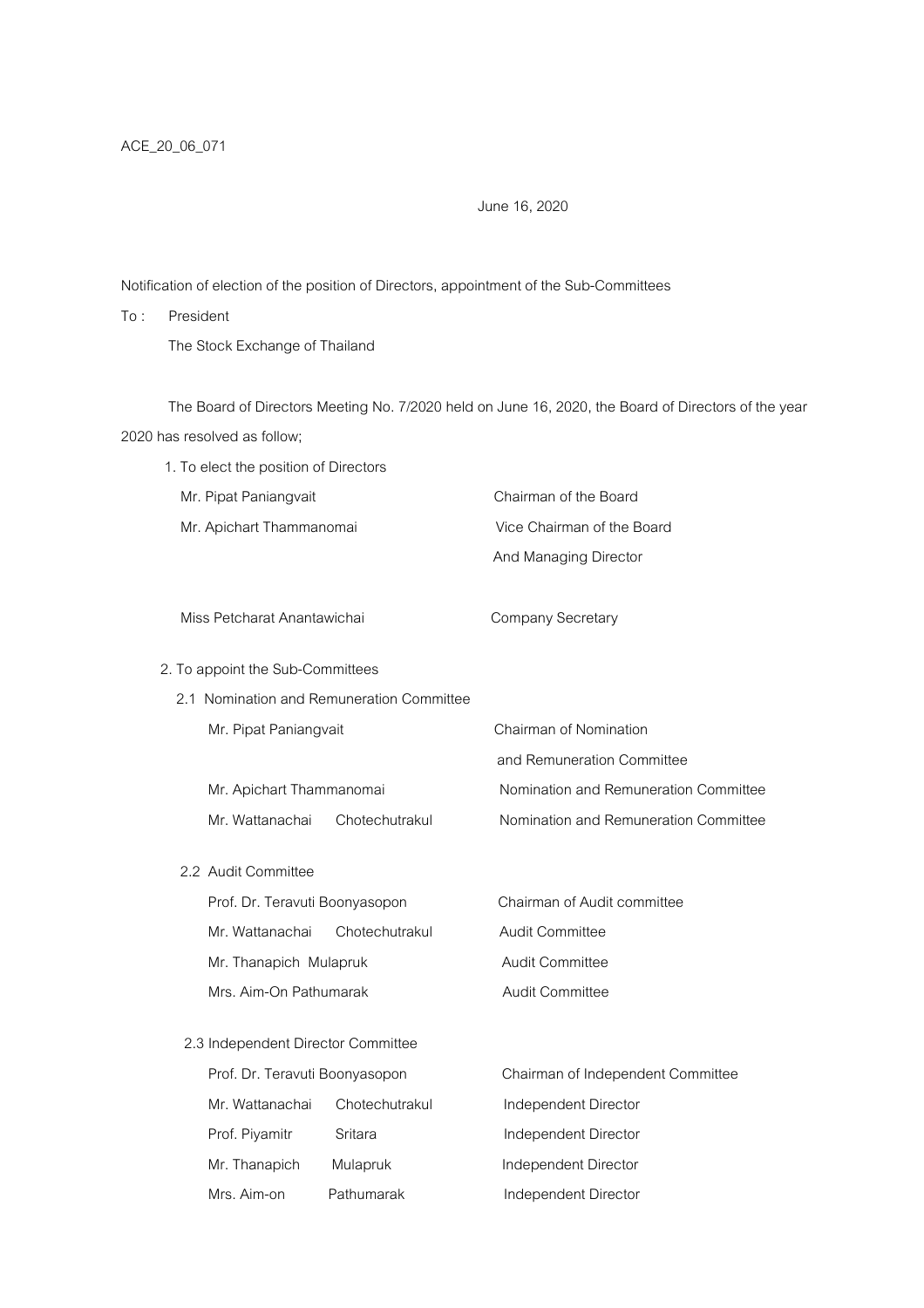## June 16, 2020

Notification of election of the position of Directors, appointment of the Sub-Committees

To : President The Stock Exchange of Thailand

 The Board of Directors Meeting No. 7/2020 held on June 16, 2020, the Board of Directors of the year 2020 has resolved as follow;

| 1. To elect the position of Directors     |                                                                                                                                            |
|-------------------------------------------|--------------------------------------------------------------------------------------------------------------------------------------------|
|                                           | Chairman of the Board                                                                                                                      |
| Mr. Apichart Thammanomai                  | Vice Chairman of the Board                                                                                                                 |
|                                           | And Managing Director                                                                                                                      |
|                                           |                                                                                                                                            |
| Miss Petcharat Anantawichai               | <b>Company Secretary</b>                                                                                                                   |
|                                           |                                                                                                                                            |
| 2.1 Nomination and Remuneration Committee |                                                                                                                                            |
| Mr. Pipat Paniangvait                     | Chairman of Nomination                                                                                                                     |
|                                           | and Remuneration Committee                                                                                                                 |
| Mr. Apichart Thammanomai                  | Nomination and Remuneration Committee                                                                                                      |
| Chotechutrakul                            | Nomination and Remuneration Committee                                                                                                      |
|                                           |                                                                                                                                            |
|                                           |                                                                                                                                            |
|                                           | Chairman of Audit committee                                                                                                                |
| Chotechutrakul                            | Audit Committee                                                                                                                            |
| Mr. Thanapich Mulapruk                    | Audit Committee                                                                                                                            |
| Mrs. Aim-On Pathumarak                    | Audit Committee                                                                                                                            |
|                                           |                                                                                                                                            |
|                                           |                                                                                                                                            |
|                                           | Chairman of Independent Committee                                                                                                          |
| Chotechutrakul                            | Independent Director                                                                                                                       |
| Sritara                                   | Independent Director                                                                                                                       |
|                                           |                                                                                                                                            |
|                                           | 2. To appoint the Sub-Committees<br>Prof. Dr. Teravuti Boonyasopon<br>2.3 Independent Director Committee<br>Prof. Dr. Teravuti Boonyasopon |

Mrs. Aim-on Pathumarak Independent Director